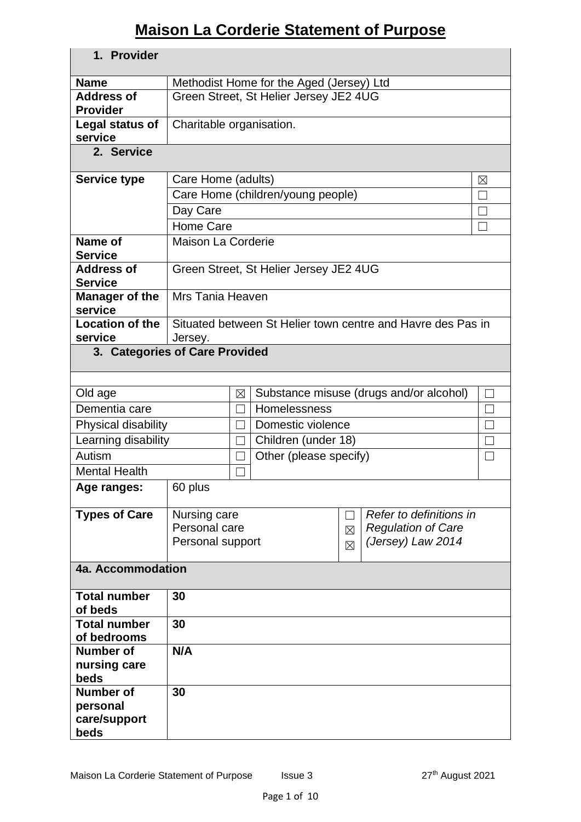# **Maison La Corderie Statement of Purpose**

| 1. Provider                    |                                        |                   |                                          |                |                                                             |        |
|--------------------------------|----------------------------------------|-------------------|------------------------------------------|----------------|-------------------------------------------------------------|--------|
| <b>Name</b>                    |                                        |                   | Methodist Home for the Aged (Jersey) Ltd |                |                                                             |        |
| <b>Address of</b>              | Green Street, St Helier Jersey JE2 4UG |                   |                                          |                |                                                             |        |
| <b>Provider</b>                |                                        |                   |                                          |                |                                                             |        |
| Legal status of                | Charitable organisation.               |                   |                                          |                |                                                             |        |
| service                        |                                        |                   |                                          |                |                                                             |        |
| 2. Service                     |                                        |                   |                                          |                |                                                             |        |
| <b>Service type</b>            | Care Home (adults)<br>⊠                |                   |                                          |                |                                                             |        |
|                                |                                        |                   | Care Home (children/young people)        |                |                                                             |        |
|                                | Day Care                               |                   |                                          |                |                                                             |        |
|                                | Home Care                              |                   |                                          |                |                                                             |        |
| Name of                        | <b>Maison La Corderie</b>              |                   |                                          |                |                                                             |        |
| <b>Service</b>                 |                                        |                   |                                          |                |                                                             |        |
| <b>Address of</b>              |                                        |                   | Green Street, St Helier Jersey JE2 4UG   |                |                                                             |        |
| <b>Service</b>                 |                                        |                   |                                          |                |                                                             |        |
| Manager of the<br>service      | Mrs Tania Heaven                       |                   |                                          |                |                                                             |        |
| <b>Location of the</b>         |                                        |                   |                                          |                | Situated between St Helier town centre and Havre des Pas in |        |
| service                        | Jersey.                                |                   |                                          |                |                                                             |        |
| 3. Categories of Care Provided |                                        |                   |                                          |                |                                                             |        |
|                                |                                        |                   |                                          |                |                                                             |        |
| Old age                        |                                        | $\boxtimes$       |                                          |                | Substance misuse (drugs and/or alcohol)                     | $\Box$ |
| Dementia care                  |                                        | $\vert \ \ \vert$ | Homelessness                             |                |                                                             |        |
| Physical disability            |                                        |                   | Domestic violence                        |                |                                                             |        |
| Learning disability            |                                        | П                 | Children (under 18)                      |                |                                                             |        |
| Autism                         |                                        | $\Box$            | Other (please specify)                   |                |                                                             |        |
| <b>Mental Health</b>           |                                        |                   |                                          |                |                                                             |        |
| Age ranges:                    | 60 plus                                |                   |                                          |                |                                                             |        |
| <b>Types of Care</b>           | Nursing care                           |                   |                                          | $\blacksquare$ | Refer to definitions in                                     |        |
|                                | Personal care                          |                   |                                          | $\boxtimes$    | <b>Regulation of Care</b>                                   |        |
|                                | Personal support                       |                   |                                          |                | (Jersey) Law 2014                                           |        |
|                                |                                        |                   |                                          | $\boxtimes$    |                                                             |        |
| 4a. Accommodation              |                                        |                   |                                          |                |                                                             |        |
| <b>Total number</b><br>of beds | 30                                     |                   |                                          |                |                                                             |        |
| <b>Total number</b>            | 30                                     |                   |                                          |                |                                                             |        |
| of bedrooms                    |                                        |                   |                                          |                |                                                             |        |
| <b>Number of</b>               | N/A                                    |                   |                                          |                |                                                             |        |
| nursing care                   |                                        |                   |                                          |                |                                                             |        |
| beds                           |                                        |                   |                                          |                |                                                             |        |
| <b>Number of</b>               | 30                                     |                   |                                          |                |                                                             |        |
| personal                       |                                        |                   |                                          |                |                                                             |        |
| care/support<br>beds           |                                        |                   |                                          |                |                                                             |        |
|                                |                                        |                   |                                          |                |                                                             |        |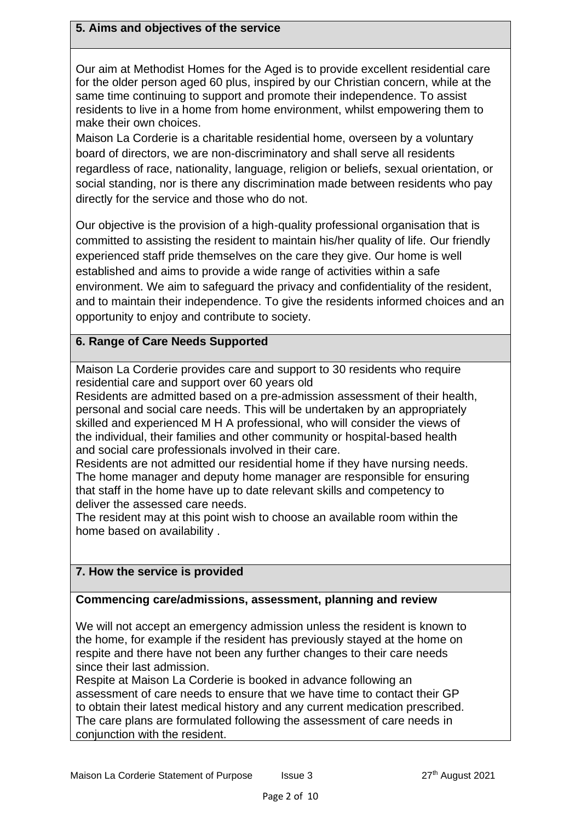#### **5. Aims and objectives of the service**

Our aim at Methodist Homes for the Aged is to provide excellent residential care for the older person aged 60 plus, inspired by our Christian concern, while at the same time continuing to support and promote their independence. To assist residents to live in a home from home environment, whilst empowering them to make their own choices.

Maison La Corderie is a charitable residential home, overseen by a voluntary board of directors, we are non-discriminatory and shall serve all residents regardless of race, nationality, language, religion or beliefs, sexual orientation, or social standing, nor is there any discrimination made between residents who pay directly for the service and those who do not.

Our objective is the provision of a high-quality professional organisation that is committed to assisting the resident to maintain his/her quality of life. Our friendly experienced staff pride themselves on the care they give. Our home is well established and aims to provide a wide range of activities within a safe environment. We aim to safeguard the privacy and confidentiality of the resident, and to maintain their independence. To give the residents informed choices and an opportunity to enjoy and contribute to society.

## **6. Range of Care Needs Supported**

Maison La Corderie provides care and support to 30 residents who require residential care and support over 60 years old

Residents are admitted based on a pre-admission assessment of their health, personal and social care needs. This will be undertaken by an appropriately skilled and experienced M H A professional, who will consider the views of the individual, their families and other community or hospital-based health and social care professionals involved in their care.

Residents are not admitted our residential home if they have nursing needs. The home manager and deputy home manager are responsible for ensuring that staff in the home have up to date relevant skills and competency to deliver the assessed care needs.

The resident may at this point wish to choose an available room within the home based on availability .

### **7. How the service is provided**

### **Commencing care/admissions, assessment, planning and review**

We will not accept an emergency admission unless the resident is known to the home, for example if the resident has previously stayed at the home on respite and there have not been any further changes to their care needs since their last admission.

Respite at Maison La Corderie is booked in advance following an assessment of care needs to ensure that we have time to contact their GP to obtain their latest medical history and any current medication prescribed. The care plans are formulated following the assessment of care needs in conjunction with the resident.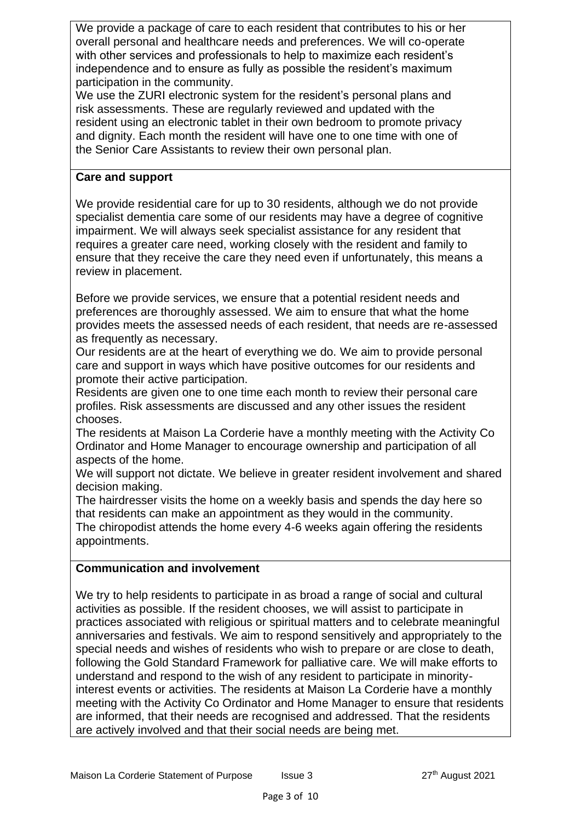We provide a package of care to each resident that contributes to his or her overall personal and healthcare needs and preferences. We will co-operate with other services and professionals to help to maximize each resident's independence and to ensure as fully as possible the resident's maximum participation in the community.

We use the ZURI electronic system for the resident's personal plans and risk assessments. These are regularly reviewed and updated with the resident using an electronic tablet in their own bedroom to promote privacy and dignity. Each month the resident will have one to one time with one of the Senior Care Assistants to review their own personal plan.

### **Care and support**

We provide residential care for up to 30 residents, although we do not provide specialist dementia care some of our residents may have a degree of cognitive impairment. We will always seek specialist assistance for any resident that requires a greater care need, working closely with the resident and family to ensure that they receive the care they need even if unfortunately, this means a review in placement.

Before we provide services, we ensure that a potential resident needs and preferences are thoroughly assessed. We aim to ensure that what the home provides meets the assessed needs of each resident, that needs are re-assessed as frequently as necessary.

Our residents are at the heart of everything we do. We aim to provide personal care and support in ways which have positive outcomes for our residents and promote their active participation.

Residents are given one to one time each month to review their personal care profiles. Risk assessments are discussed and any other issues the resident chooses.

The residents at Maison La Corderie have a monthly meeting with the Activity Co Ordinator and Home Manager to encourage ownership and participation of all aspects of the home.

We will support not dictate. We believe in greater resident involvement and shared decision making.

The hairdresser visits the home on a weekly basis and spends the day here so that residents can make an appointment as they would in the community.

The chiropodist attends the home every 4-6 weeks again offering the residents appointments.

### **Communication and involvement**

We try to help residents to participate in as broad a range of social and cultural activities as possible. If the resident chooses, we will assist to participate in practices associated with religious or spiritual matters and to celebrate meaningful anniversaries and festivals. We aim to respond sensitively and appropriately to the special needs and wishes of residents who wish to prepare or are close to death, following the Gold Standard Framework for palliative care. We will make efforts to understand and respond to the wish of any resident to participate in minorityinterest events or activities. The residents at Maison La Corderie have a monthly meeting with the Activity Co Ordinator and Home Manager to ensure that residents are informed, that their needs are recognised and addressed. That the residents are actively involved and that their social needs are being met.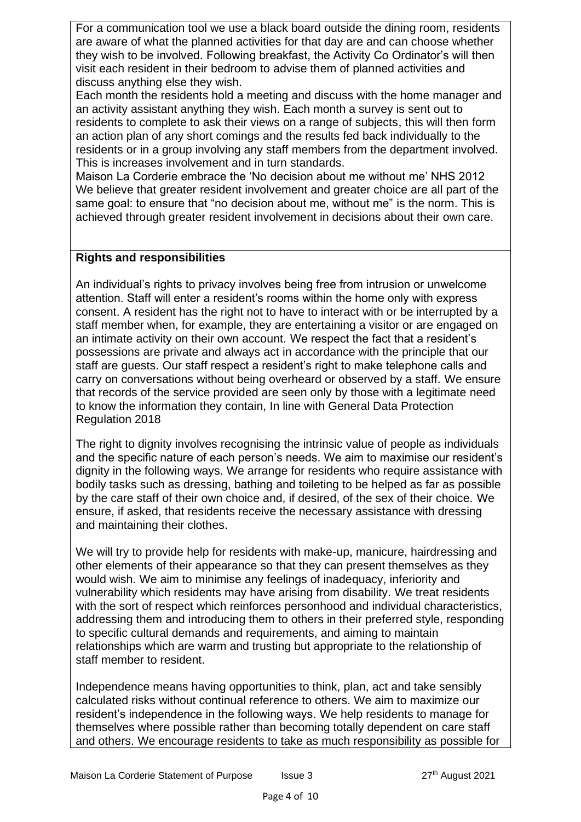For a communication tool we use a black board outside the dining room, residents are aware of what the planned activities for that day are and can choose whether they wish to be involved. Following breakfast, the Activity Co Ordinator's will then visit each resident in their bedroom to advise them of planned activities and discuss anything else they wish.

Each month the residents hold a meeting and discuss with the home manager and an activity assistant anything they wish. Each month a survey is sent out to residents to complete to ask their views on a range of subjects, this will then form an action plan of any short comings and the results fed back individually to the residents or in a group involving any staff members from the department involved. This is increases involvement and in turn standards.

Maison La Corderie embrace the 'No decision about me without me' NHS 2012 We believe that greater resident involvement and greater choice are all part of the same goal: to ensure that "no decision about me, without me" is the norm. This is achieved through greater resident involvement in decisions about their own care.

## **Rights and responsibilities**

An individual's rights to privacy involves being free from intrusion or unwelcome attention. Staff will enter a resident's rooms within the home only with express consent. A resident has the right not to have to interact with or be interrupted by a staff member when, for example, they are entertaining a visitor or are engaged on an intimate activity on their own account. We respect the fact that a resident's possessions are private and always act in accordance with the principle that our staff are guests. Our staff respect a resident's right to make telephone calls and carry on conversations without being overheard or observed by a staff. We ensure that records of the service provided are seen only by those with a legitimate need to know the information they contain, In line with General Data Protection Regulation 2018

The right to dignity involves recognising the intrinsic value of people as individuals and the specific nature of each person's needs. We aim to maximise our resident's dignity in the following ways. We arrange for residents who require assistance with bodily tasks such as dressing, bathing and toileting to be helped as far as possible by the care staff of their own choice and, if desired, of the sex of their choice. We ensure, if asked, that residents receive the necessary assistance with dressing and maintaining their clothes.

We will try to provide help for residents with make-up, manicure, hairdressing and other elements of their appearance so that they can present themselves as they would wish. We aim to minimise any feelings of inadequacy, inferiority and vulnerability which residents may have arising from disability. We treat residents with the sort of respect which reinforces personhood and individual characteristics, addressing them and introducing them to others in their preferred style, responding to specific cultural demands and requirements, and aiming to maintain relationships which are warm and trusting but appropriate to the relationship of staff member to resident.

Independence means having opportunities to think, plan, act and take sensibly calculated risks without continual reference to others. We aim to maximize our resident's independence in the following ways. We help residents to manage for themselves where possible rather than becoming totally dependent on care staff and others. We encourage residents to take as much responsibility as possible for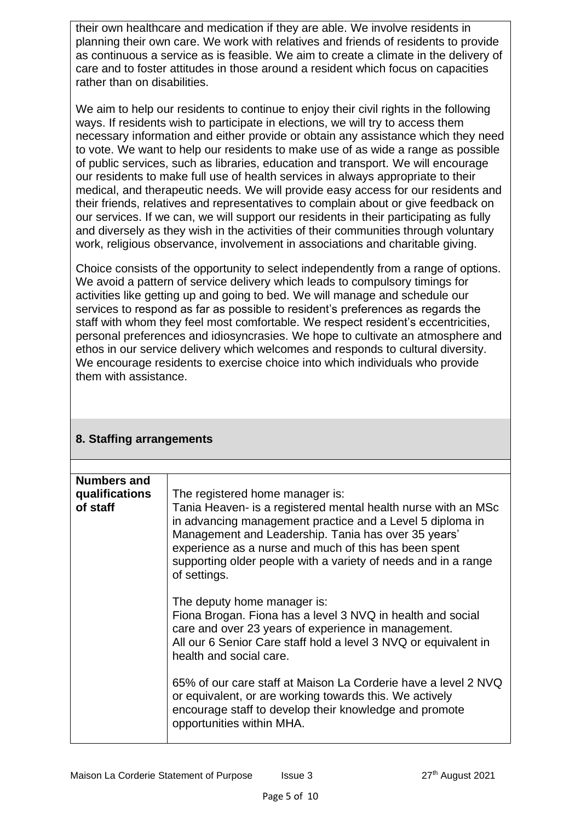their own healthcare and medication if they are able. We involve residents in planning their own care. We work with relatives and friends of residents to provide as continuous a service as is feasible. We aim to create a climate in the delivery of care and to foster attitudes in those around a resident which focus on capacities rather than on disabilities.

We aim to help our residents to continue to enjoy their civil rights in the following ways. If residents wish to participate in elections, we will try to access them necessary information and either provide or obtain any assistance which they need to vote. We want to help our residents to make use of as wide a range as possible of public services, such as libraries, education and transport. We will encourage our residents to make full use of health services in always appropriate to their medical, and therapeutic needs. We will provide easy access for our residents and their friends, relatives and representatives to complain about or give feedback on our services. If we can, we will support our residents in their participating as fully and diversely as they wish in the activities of their communities through voluntary work, religious observance, involvement in associations and charitable giving.

Choice consists of the opportunity to select independently from a range of options. We avoid a pattern of service delivery which leads to compulsory timings for activities like getting up and going to bed. We will manage and schedule our services to respond as far as possible to resident's preferences as regards the staff with whom they feel most comfortable. We respect resident's eccentricities, personal preferences and idiosyncrasies. We hope to cultivate an atmosphere and ethos in our service delivery which welcomes and responds to cultural diversity. We encourage residents to exercise choice into which individuals who provide them with assistance.

| <b>Numbers and</b><br>qualifications<br>of staff | The registered home manager is:<br>Tania Heaven- is a registered mental health nurse with an MSc<br>in advancing management practice and a Level 5 diploma in<br>Management and Leadership. Tania has over 35 years'<br>experience as a nurse and much of this has been spent<br>supporting older people with a variety of needs and in a range<br>of settings. |
|--------------------------------------------------|-----------------------------------------------------------------------------------------------------------------------------------------------------------------------------------------------------------------------------------------------------------------------------------------------------------------------------------------------------------------|
|                                                  | The deputy home manager is:<br>Fiona Brogan. Fiona has a level 3 NVQ in health and social<br>care and over 23 years of experience in management.<br>All our 6 Senior Care staff hold a level 3 NVQ or equivalent in<br>health and social care.                                                                                                                  |
|                                                  | 65% of our care staff at Maison La Corderie have a level 2 NVQ<br>or equivalent, or are working towards this. We actively<br>encourage staff to develop their knowledge and promote<br>opportunities within MHA.                                                                                                                                                |

## **8. Staffing arrangements**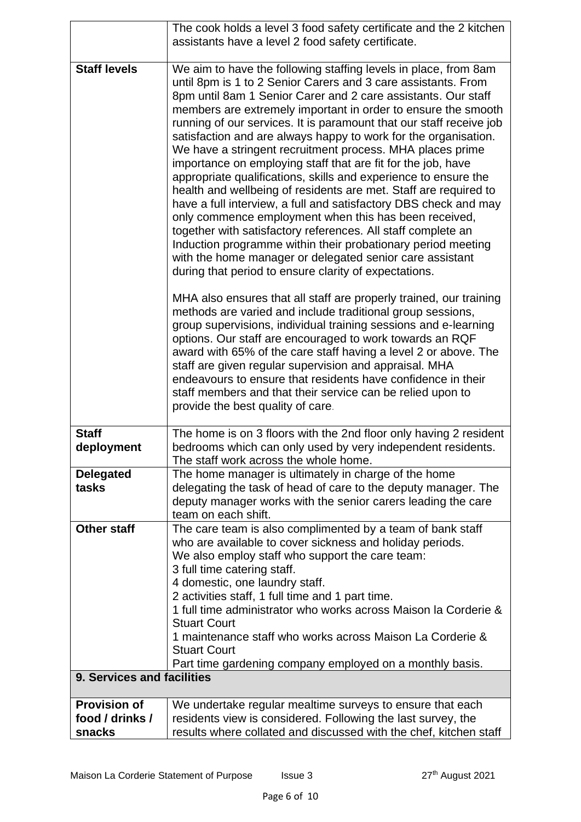|                            | The cook holds a level 3 food safety certificate and the 2 kitchen                                                                                                                                                                                                                                                                                                                                                                                                                                                                                                                                                                                                                                                                                                                                                                                                                                                                                                                                                                                                                                                                                                                                                                                                                                                                                                                                                                                                                                                                                                                                                                    |
|----------------------------|---------------------------------------------------------------------------------------------------------------------------------------------------------------------------------------------------------------------------------------------------------------------------------------------------------------------------------------------------------------------------------------------------------------------------------------------------------------------------------------------------------------------------------------------------------------------------------------------------------------------------------------------------------------------------------------------------------------------------------------------------------------------------------------------------------------------------------------------------------------------------------------------------------------------------------------------------------------------------------------------------------------------------------------------------------------------------------------------------------------------------------------------------------------------------------------------------------------------------------------------------------------------------------------------------------------------------------------------------------------------------------------------------------------------------------------------------------------------------------------------------------------------------------------------------------------------------------------------------------------------------------------|
|                            | assistants have a level 2 food safety certificate.                                                                                                                                                                                                                                                                                                                                                                                                                                                                                                                                                                                                                                                                                                                                                                                                                                                                                                                                                                                                                                                                                                                                                                                                                                                                                                                                                                                                                                                                                                                                                                                    |
| <b>Staff levels</b>        | We aim to have the following staffing levels in place, from 8am<br>until 8pm is 1 to 2 Senior Carers and 3 care assistants. From<br>8pm until 8am 1 Senior Carer and 2 care assistants. Our staff<br>members are extremely important in order to ensure the smooth<br>running of our services. It is paramount that our staff receive job<br>satisfaction and are always happy to work for the organisation.<br>We have a stringent recruitment process. MHA places prime<br>importance on employing staff that are fit for the job, have<br>appropriate qualifications, skills and experience to ensure the<br>health and wellbeing of residents are met. Staff are required to<br>have a full interview, a full and satisfactory DBS check and may<br>only commence employment when this has been received,<br>together with satisfactory references. All staff complete an<br>Induction programme within their probationary period meeting<br>with the home manager or delegated senior care assistant<br>during that period to ensure clarity of expectations.<br>MHA also ensures that all staff are properly trained, our training<br>methods are varied and include traditional group sessions,<br>group supervisions, individual training sessions and e-learning<br>options. Our staff are encouraged to work towards an RQF<br>award with 65% of the care staff having a level 2 or above. The<br>staff are given regular supervision and appraisal. MHA<br>endeavours to ensure that residents have confidence in their<br>staff members and that their service can be relied upon to<br>provide the best quality of care. |
| <b>Staff</b>               |                                                                                                                                                                                                                                                                                                                                                                                                                                                                                                                                                                                                                                                                                                                                                                                                                                                                                                                                                                                                                                                                                                                                                                                                                                                                                                                                                                                                                                                                                                                                                                                                                                       |
| deployment                 | The home is on 3 floors with the 2nd floor only having 2 resident<br>bedrooms which can only used by very independent residents.<br>The staff work across the whole home.                                                                                                                                                                                                                                                                                                                                                                                                                                                                                                                                                                                                                                                                                                                                                                                                                                                                                                                                                                                                                                                                                                                                                                                                                                                                                                                                                                                                                                                             |
| <b>Delegated</b>           | The home manager is ultimately in charge of the home                                                                                                                                                                                                                                                                                                                                                                                                                                                                                                                                                                                                                                                                                                                                                                                                                                                                                                                                                                                                                                                                                                                                                                                                                                                                                                                                                                                                                                                                                                                                                                                  |
| tasks                      | delegating the task of head of care to the deputy manager. The<br>deputy manager works with the senior carers leading the care<br>team on each shift.                                                                                                                                                                                                                                                                                                                                                                                                                                                                                                                                                                                                                                                                                                                                                                                                                                                                                                                                                                                                                                                                                                                                                                                                                                                                                                                                                                                                                                                                                 |
| <b>Other staff</b>         | The care team is also complimented by a team of bank staff                                                                                                                                                                                                                                                                                                                                                                                                                                                                                                                                                                                                                                                                                                                                                                                                                                                                                                                                                                                                                                                                                                                                                                                                                                                                                                                                                                                                                                                                                                                                                                            |
|                            | who are available to cover sickness and holiday periods.<br>We also employ staff who support the care team:                                                                                                                                                                                                                                                                                                                                                                                                                                                                                                                                                                                                                                                                                                                                                                                                                                                                                                                                                                                                                                                                                                                                                                                                                                                                                                                                                                                                                                                                                                                           |
|                            | 3 full time catering staff.                                                                                                                                                                                                                                                                                                                                                                                                                                                                                                                                                                                                                                                                                                                                                                                                                                                                                                                                                                                                                                                                                                                                                                                                                                                                                                                                                                                                                                                                                                                                                                                                           |
|                            | 4 domestic, one laundry staff.                                                                                                                                                                                                                                                                                                                                                                                                                                                                                                                                                                                                                                                                                                                                                                                                                                                                                                                                                                                                                                                                                                                                                                                                                                                                                                                                                                                                                                                                                                                                                                                                        |
|                            | 2 activities staff, 1 full time and 1 part time.<br>1 full time administrator who works across Maison la Corderie &                                                                                                                                                                                                                                                                                                                                                                                                                                                                                                                                                                                                                                                                                                                                                                                                                                                                                                                                                                                                                                                                                                                                                                                                                                                                                                                                                                                                                                                                                                                   |
|                            | <b>Stuart Court</b>                                                                                                                                                                                                                                                                                                                                                                                                                                                                                                                                                                                                                                                                                                                                                                                                                                                                                                                                                                                                                                                                                                                                                                                                                                                                                                                                                                                                                                                                                                                                                                                                                   |
|                            | 1 maintenance staff who works across Maison La Corderie &                                                                                                                                                                                                                                                                                                                                                                                                                                                                                                                                                                                                                                                                                                                                                                                                                                                                                                                                                                                                                                                                                                                                                                                                                                                                                                                                                                                                                                                                                                                                                                             |
|                            | <b>Stuart Court</b><br>Part time gardening company employed on a monthly basis.                                                                                                                                                                                                                                                                                                                                                                                                                                                                                                                                                                                                                                                                                                                                                                                                                                                                                                                                                                                                                                                                                                                                                                                                                                                                                                                                                                                                                                                                                                                                                       |
| 9. Services and facilities |                                                                                                                                                                                                                                                                                                                                                                                                                                                                                                                                                                                                                                                                                                                                                                                                                                                                                                                                                                                                                                                                                                                                                                                                                                                                                                                                                                                                                                                                                                                                                                                                                                       |
| <b>Provision of</b>        | We undertake regular mealtime surveys to ensure that each                                                                                                                                                                                                                                                                                                                                                                                                                                                                                                                                                                                                                                                                                                                                                                                                                                                                                                                                                                                                                                                                                                                                                                                                                                                                                                                                                                                                                                                                                                                                                                             |
| food / drinks /<br>snacks  | residents view is considered. Following the last survey, the<br>results where collated and discussed with the chef, kitchen staff                                                                                                                                                                                                                                                                                                                                                                                                                                                                                                                                                                                                                                                                                                                                                                                                                                                                                                                                                                                                                                                                                                                                                                                                                                                                                                                                                                                                                                                                                                     |
|                            |                                                                                                                                                                                                                                                                                                                                                                                                                                                                                                                                                                                                                                                                                                                                                                                                                                                                                                                                                                                                                                                                                                                                                                                                                                                                                                                                                                                                                                                                                                                                                                                                                                       |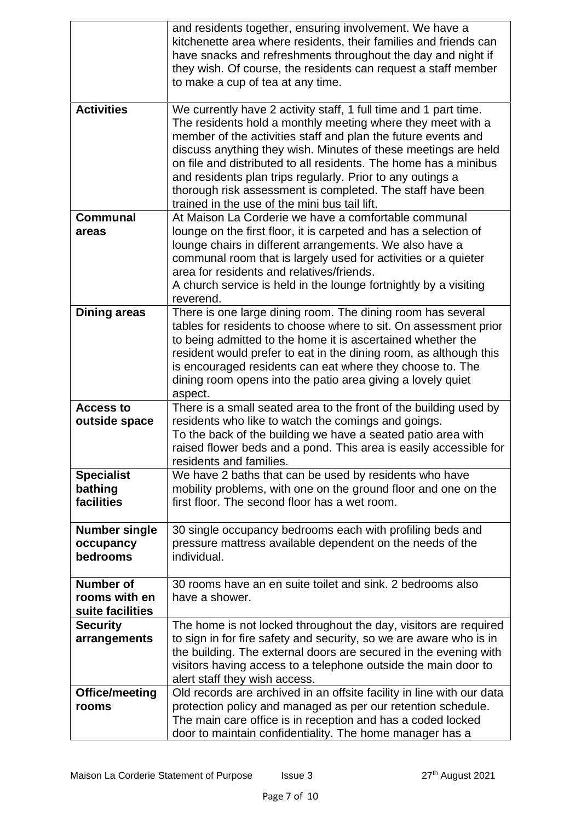|                                                       | and residents together, ensuring involvement. We have a<br>kitchenette area where residents, their families and friends can<br>have snacks and refreshments throughout the day and night if<br>they wish. Of course, the residents can request a staff member<br>to make a cup of tea at any time.                                                                                                                                                                                                                  |
|-------------------------------------------------------|---------------------------------------------------------------------------------------------------------------------------------------------------------------------------------------------------------------------------------------------------------------------------------------------------------------------------------------------------------------------------------------------------------------------------------------------------------------------------------------------------------------------|
| <b>Activities</b>                                     | We currently have 2 activity staff, 1 full time and 1 part time.<br>The residents hold a monthly meeting where they meet with a<br>member of the activities staff and plan the future events and<br>discuss anything they wish. Minutes of these meetings are held<br>on file and distributed to all residents. The home has a minibus<br>and residents plan trips regularly. Prior to any outings a<br>thorough risk assessment is completed. The staff have been<br>trained in the use of the mini bus tail lift. |
| <b>Communal</b><br>areas                              | At Maison La Corderie we have a comfortable communal<br>lounge on the first floor, it is carpeted and has a selection of<br>lounge chairs in different arrangements. We also have a<br>communal room that is largely used for activities or a quieter<br>area for residents and relatives/friends.<br>A church service is held in the lounge fortnightly by a visiting<br>reverend.                                                                                                                                 |
| <b>Dining areas</b>                                   | There is one large dining room. The dining room has several<br>tables for residents to choose where to sit. On assessment prior<br>to being admitted to the home it is ascertained whether the<br>resident would prefer to eat in the dining room, as although this<br>is encouraged residents can eat where they choose to. The<br>dining room opens into the patio area giving a lovely quiet<br>aspect.                                                                                                          |
| <b>Access to</b><br>outside space                     | There is a small seated area to the front of the building used by<br>residents who like to watch the comings and goings.<br>To the back of the building we have a seated patio area with<br>raised flower beds and a pond. This area is easily accessible for<br>residents and families.                                                                                                                                                                                                                            |
| <b>Specialist</b><br>bathing<br>facilities            | We have 2 baths that can be used by residents who have<br>mobility problems, with one on the ground floor and one on the<br>first floor. The second floor has a wet room.                                                                                                                                                                                                                                                                                                                                           |
| <b>Number single</b><br>occupancy<br>bedrooms         | 30 single occupancy bedrooms each with profiling beds and<br>pressure mattress available dependent on the needs of the<br>individual.                                                                                                                                                                                                                                                                                                                                                                               |
| <b>Number of</b><br>rooms with en<br>suite facilities | 30 rooms have an en suite toilet and sink. 2 bedrooms also<br>have a shower.                                                                                                                                                                                                                                                                                                                                                                                                                                        |
| <b>Security</b><br>arrangements                       | The home is not locked throughout the day, visitors are required<br>to sign in for fire safety and security, so we are aware who is in<br>the building. The external doors are secured in the evening with<br>visitors having access to a telephone outside the main door to<br>alert staff they wish access.                                                                                                                                                                                                       |
| Office/meeting<br>rooms                               | Old records are archived in an offsite facility in line with our data<br>protection policy and managed as per our retention schedule.<br>The main care office is in reception and has a coded locked<br>door to maintain confidentiality. The home manager has a                                                                                                                                                                                                                                                    |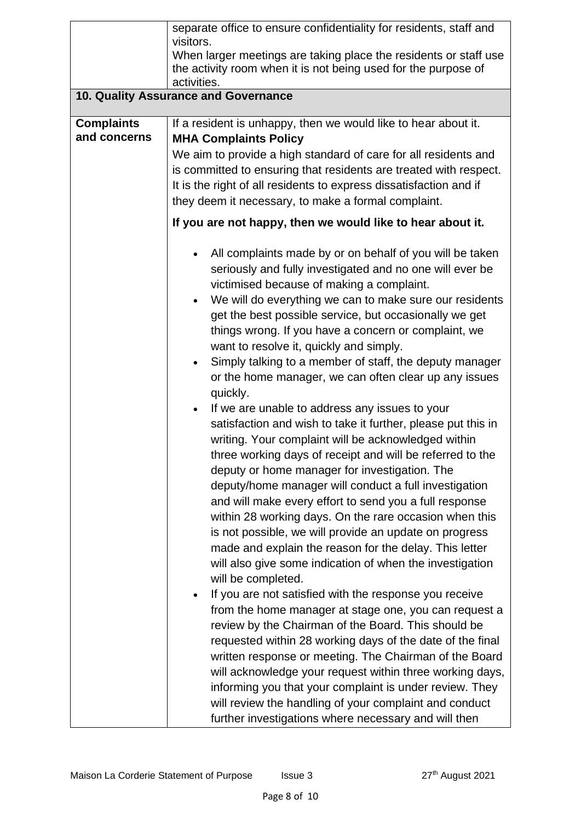|                                   | separate office to ensure confidentiality for residents, staff and<br>visitors.                                                                                                                                                                                                                                                                                                                                                                                                                                                                                                                                                                                                                                                                                                                                                                                                                                                                                                                                                                                                                                                                                                                                                                                                                                                                                                                                                                                                                                                                                                                                                                                                 |  |  |
|-----------------------------------|---------------------------------------------------------------------------------------------------------------------------------------------------------------------------------------------------------------------------------------------------------------------------------------------------------------------------------------------------------------------------------------------------------------------------------------------------------------------------------------------------------------------------------------------------------------------------------------------------------------------------------------------------------------------------------------------------------------------------------------------------------------------------------------------------------------------------------------------------------------------------------------------------------------------------------------------------------------------------------------------------------------------------------------------------------------------------------------------------------------------------------------------------------------------------------------------------------------------------------------------------------------------------------------------------------------------------------------------------------------------------------------------------------------------------------------------------------------------------------------------------------------------------------------------------------------------------------------------------------------------------------------------------------------------------------|--|--|
|                                   | When larger meetings are taking place the residents or staff use<br>the activity room when it is not being used for the purpose of<br>activities.                                                                                                                                                                                                                                                                                                                                                                                                                                                                                                                                                                                                                                                                                                                                                                                                                                                                                                                                                                                                                                                                                                                                                                                                                                                                                                                                                                                                                                                                                                                               |  |  |
|                                   | 10. Quality Assurance and Governance                                                                                                                                                                                                                                                                                                                                                                                                                                                                                                                                                                                                                                                                                                                                                                                                                                                                                                                                                                                                                                                                                                                                                                                                                                                                                                                                                                                                                                                                                                                                                                                                                                            |  |  |
| <b>Complaints</b><br>and concerns | If a resident is unhappy, then we would like to hear about it.<br><b>MHA Complaints Policy</b><br>We aim to provide a high standard of care for all residents and<br>is committed to ensuring that residents are treated with respect.<br>It is the right of all residents to express dissatisfaction and if<br>they deem it necessary, to make a formal complaint.<br>If you are not happy, then we would like to hear about it.<br>All complaints made by or on behalf of you will be taken<br>seriously and fully investigated and no one will ever be<br>victimised because of making a complaint.<br>We will do everything we can to make sure our residents<br>$\bullet$<br>get the best possible service, but occasionally we get<br>things wrong. If you have a concern or complaint, we<br>want to resolve it, quickly and simply.<br>Simply talking to a member of staff, the deputy manager<br>$\bullet$<br>or the home manager, we can often clear up any issues<br>quickly.<br>If we are unable to address any issues to your<br>$\bullet$<br>satisfaction and wish to take it further, please put this in<br>writing. Your complaint will be acknowledged within<br>three working days of receipt and will be referred to the<br>deputy or home manager for investigation. The<br>deputy/home manager will conduct a full investigation<br>and will make every effort to send you a full response<br>within 28 working days. On the rare occasion when this<br>is not possible, we will provide an update on progress<br>made and explain the reason for the delay. This letter<br>will also give some indication of when the investigation<br>will be completed. |  |  |
|                                   | If you are not satisfied with the response you receive<br>$\bullet$<br>from the home manager at stage one, you can request a<br>review by the Chairman of the Board. This should be<br>requested within 28 working days of the date of the final<br>written response or meeting. The Chairman of the Board<br>will acknowledge your request within three working days,<br>informing you that your complaint is under review. They<br>will review the handling of your complaint and conduct<br>further investigations where necessary and will then                                                                                                                                                                                                                                                                                                                                                                                                                                                                                                                                                                                                                                                                                                                                                                                                                                                                                                                                                                                                                                                                                                                             |  |  |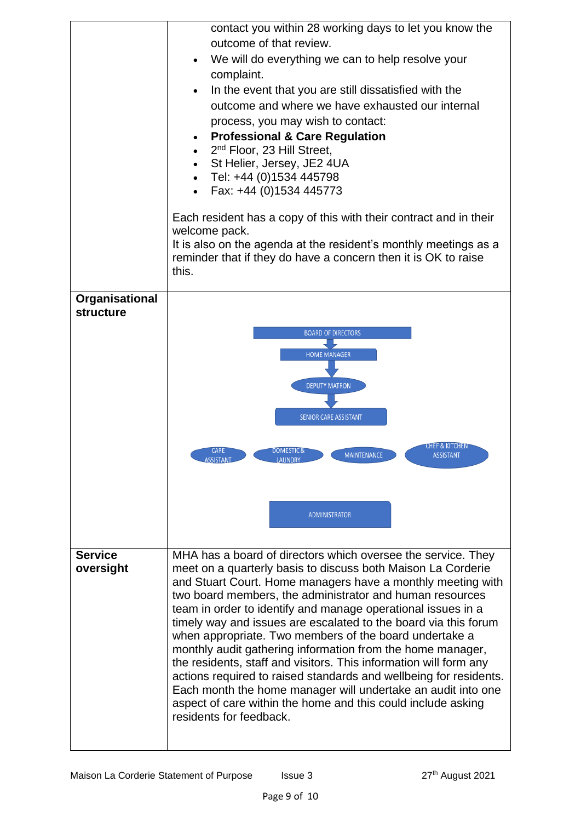|                             | contact you within 28 working days to let you know the<br>outcome of that review.<br>We will do everything we can to help resolve your<br>complaint.<br>In the event that you are still dissatisfied with the<br>outcome and where we have exhausted our internal<br>process, you may wish to contact:<br><b>Professional &amp; Care Regulation</b><br>2 <sup>nd</sup> Floor, 23 Hill Street,<br>St Helier, Jersey, JE2 4UA<br>Tel: +44 (0)1534 445798<br>Fax: +44 (0)1534 445773<br>Each resident has a copy of this with their contract and in their<br>welcome pack.<br>It is also on the agenda at the resident's monthly meetings as a<br>reminder that if they do have a concern then it is OK to raise<br>this.                                                                                                  |
|-----------------------------|-------------------------------------------------------------------------------------------------------------------------------------------------------------------------------------------------------------------------------------------------------------------------------------------------------------------------------------------------------------------------------------------------------------------------------------------------------------------------------------------------------------------------------------------------------------------------------------------------------------------------------------------------------------------------------------------------------------------------------------------------------------------------------------------------------------------------|
| Organisational<br>structure | <b>BOARD OF DIRECTORS</b><br><b>HOME MANAGER</b><br><b>DEPUTY MATRON</b>                                                                                                                                                                                                                                                                                                                                                                                                                                                                                                                                                                                                                                                                                                                                                |
|                             | <b>SENIOR CARE ASSISTANT</b><br>CHEF & KITCHEN<br><b>CARE</b><br><b>DOMESTIC &amp;</b><br><b>MAINTENANCE</b><br><b>ASSISTANT</b><br><u>ASSISTANT.</u><br>LAUNDRY<br><b>ADMINISTRATOR</b>                                                                                                                                                                                                                                                                                                                                                                                                                                                                                                                                                                                                                                |
| <b>Service</b><br>oversight | MHA has a board of directors which oversee the service. They<br>meet on a quarterly basis to discuss both Maison La Corderie<br>and Stuart Court. Home managers have a monthly meeting with<br>two board members, the administrator and human resources<br>team in order to identify and manage operational issues in a<br>timely way and issues are escalated to the board via this forum<br>when appropriate. Two members of the board undertake a<br>monthly audit gathering information from the home manager,<br>the residents, staff and visitors. This information will form any<br>actions required to raised standards and wellbeing for residents.<br>Each month the home manager will undertake an audit into one<br>aspect of care within the home and this could include asking<br>residents for feedback. |